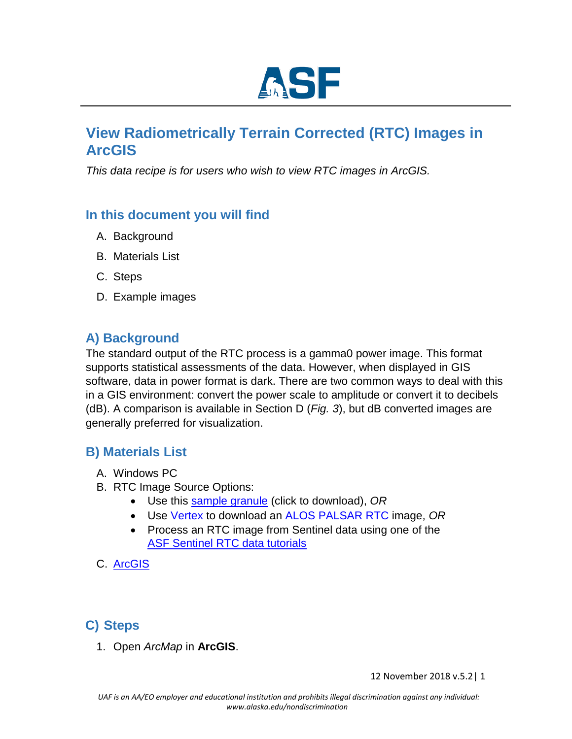

# **View Radiometrically Terrain Corrected (RTC) Images in ArcGIS**

*This data recipe is for users who wish to view RTC images in ArcGIS.* 

### **In this document you will find**

- A. Background
- B. Materials List
- C. Steps
- D. Example images

### **A) Background**

The standard output of the RTC process is a gamma0 power image. This format supports statistical assessments of the data. However, when displayed in GIS software, data in power format is dark. There are two common ways to deal with this in a GIS environment: convert the power scale to amplitude or convert it to decibels (dB). A comparison is available in Section D (*Fig. 3*), but dB converted images are generally preferred for visualization.

#### **B) Materials List**

- A. Windows PC
- B. RTC Image Source Options:
	- Use this [sample granule](https://datapool.asf.alaska.edu/RTC_HI_RES/A3/AP_04453_FBS_F1250_RT1.zip) [\(](https://datapool.asf.alaska.edu/RTC_HI_RES/A3/AP_04453_FBS_F1250_RT1.zip)click to download), *OR*
	- Us[e](https://vertex.daac.asf.alaska.edu/) [Vertex](https://vertex.daac.asf.alaska.edu/) to download an [ALOS](https://www.asf.alaska.edu/sar-data/palsar/terrain-corrected-rtc/) [PALSAR](https://www.asf.alaska.edu/sar-data/palsar/terrain-corrected-rtc/) [RTC](https://www.asf.alaska.edu/sar-data/palsar/terrain-corrected-rtc/) image, *OR*
	- Process an RTC image from Sentinel data using one of the [ASF Sentinel RTC data tutorials](https://www.asf.alaska.edu/asf-tutorials/data-recipes/correct-sentinel-data/)
- C. [ArcGIS](https://www.arcgis.com/index.html)

### **C) Steps**

1. Open *ArcMap* in **ArcGIS**.

12 November 2018 v.5.2| 1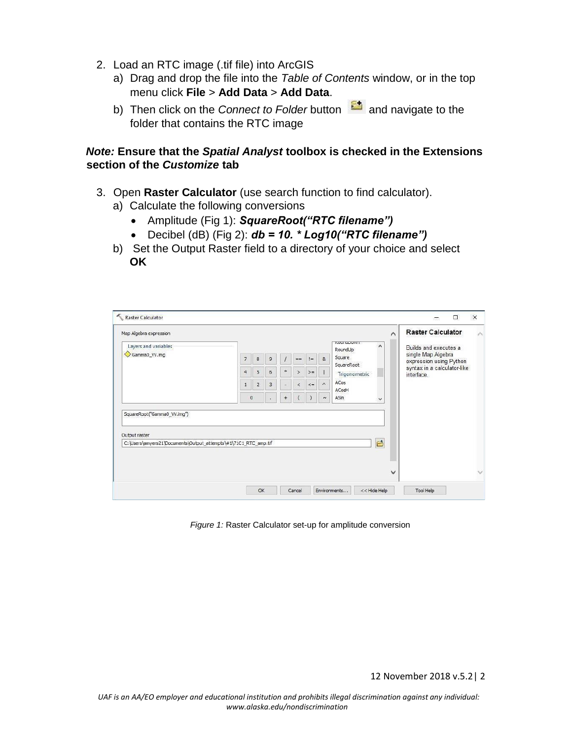- 2. Load an RTC image (.tif file) into ArcGIS
	- a) Drag and drop the file into the *Table of Contents* window, or in the top menu click **File** > **Add Data** > **Add Data**.
	- b) Then click on the *Connect to Folder* button **a** and navigate to the folder that contains the RTC image

#### *Note:* **Ensure that the** *Spatial Analyst* **toolbox is checked in the Extensions section of the** *Customize* **tab**

- 3. Open **Raster Calculator** (use search function to find calculator).
	- a) Calculate the following conversions
		- Amplitude (Fig 1): *SquareRoot("RTC filename")*
		- Decibel (dB) (Fig 2): *db = 10. \* Log10("RTC filename")*
	- b) Set the Output Raster field to a directory of your choice and select **OK**

| Map Algebra expression                                                           |                |                                                        |   |        |               |          |                                               |                                                | $\wedge$ | <b>Raster Calculator</b>                  |
|----------------------------------------------------------------------------------|----------------|--------------------------------------------------------|---|--------|---------------|----------|-----------------------------------------------|------------------------------------------------|----------|-------------------------------------------|
| Layers and variables<br>Gamma0_VV.img                                            |                | <b>NUULIUL/UVVIII</b><br>∧<br>RoundUp                  |   |        |               |          |                                               |                                                |          | Builds and executes a                     |
|                                                                                  | $\overline{7}$ | Square<br>$\sqrt{8}$<br>$\alpha$<br>9<br>$1 =$<br>$==$ |   |        |               |          | single Map Algebra<br>expression using Python |                                                |          |                                           |
|                                                                                  | $\overline{4}$ | $5\overline{5}$                                        | 6 | $\ast$ | $\geq$        | $>=$     |                                               | SquareRoot<br>Trigonometric -<br>ACos<br>ACosH |          | syntax in a calculator-like<br>interface. |
|                                                                                  | $\mathbf{1}$   | $\overline{2}$                                         | 3 |        | $\dot{\rm{}}$ | $\leq$ = | $\boldsymbol{\lambda}$                        |                                                |          |                                           |
|                                                                                  |                | $\circ$                                                |   | $^{+}$ |               |          | $\sim$                                        | ASin                                           | v        |                                           |
|                                                                                  |                |                                                        |   |        |               |          |                                               |                                                |          |                                           |
|                                                                                  |                |                                                        |   |        |               |          |                                               |                                                |          |                                           |
| Output raster<br>C:\Users\amyers21\Documents\Output_attempts\#1\71C1_RTC_amp.tif |                |                                                        |   |        |               |          |                                               |                                                | 户        |                                           |
|                                                                                  |                |                                                        |   |        |               |          |                                               |                                                |          |                                           |
|                                                                                  |                |                                                        |   |        |               |          |                                               |                                                | ◡        |                                           |

*Figure 1:* Raster Calculator set-up for amplitude conversion